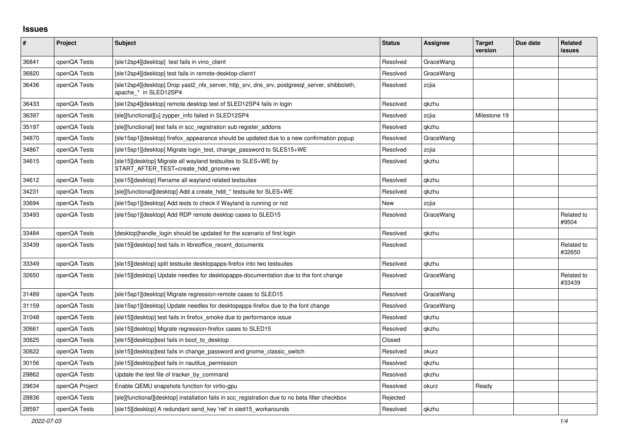## **Issues**

| #     | Project        | <b>Subject</b>                                                                                                        | <b>Status</b> | Assignee  | <b>Target</b><br>version | Due date | <b>Related</b><br><b>issues</b> |
|-------|----------------|-----------------------------------------------------------------------------------------------------------------------|---------------|-----------|--------------------------|----------|---------------------------------|
| 36841 | openQA Tests   | [sle12sp4][desktop] test fails in vino client                                                                         | Resolved      | GraceWang |                          |          |                                 |
| 36820 | openQA Tests   | [sle12sp4][desktop] test fails in remote-desktop-client1                                                              | Resolved      | GraceWang |                          |          |                                 |
| 36436 | openQA Tests   | [sle12sp4][desktop] Drop yast2 nfs server, http srv, dns srv, postgresql server, shibboleth,<br>apache_* in SLED12SP4 | Resolved      | zcjia     |                          |          |                                 |
| 36433 | openQA Tests   | [sle12sp4][desktop] remote desktop test of SLED12SP4 fails in login                                                   | Resolved      | qkzhu     |                          |          |                                 |
| 36397 | openQA Tests   | [sle][functional][u] zypper info failed in SLED12SP4                                                                  | Resolved      | zcjia     | Milestone 19             |          |                                 |
| 35197 | openQA Tests   | [sle][functional] test fails in scc registration sub register addons                                                  | Resolved      | qkzhu     |                          |          |                                 |
| 34870 | openQA Tests   | [sle15sp1][desktop] firefox appearance should be updated due to a new confirmation popup                              | Resolved      | GraceWang |                          |          |                                 |
| 34867 | openQA Tests   | [sle15sp1][desktop] Migrate login test, change password to SLES15+WE                                                  | Resolved      | zcjia     |                          |          |                                 |
| 34615 | openQA Tests   | [sle15][desktop] Migrate all wayland testsuites to SLES+WE by<br>START AFTER TEST=create hdd gnome+we                 | Resolved      | qkzhu     |                          |          |                                 |
| 34612 | openQA Tests   | [sle15][desktop] Rename all wayland related testsuites                                                                | Resolved      | qkzhu     |                          |          |                                 |
| 34231 | openQA Tests   | [sle][functional][desktop] Add a create hdd * testsuite for SLES+WE                                                   | Resolved      | qkzhu     |                          |          |                                 |
| 33694 | openQA Tests   | [sle15sp1] [desktop] Add tests to check if Wayland is running or not                                                  | New           | zcjia     |                          |          |                                 |
| 33493 | openQA Tests   | [sle15sp1][desktop] Add RDP remote desktop cases to SLED15                                                            | Resolved      | GraceWang |                          |          | Related to<br>#9504             |
| 33484 | openQA Tests   | [desktop]handle login should be updated for the scenario of first login                                               | Resolved      | qkzhu     |                          |          |                                 |
| 33439 | openQA Tests   | [sle15][desktop] test fails in libreoffice recent documents                                                           | Resolved      |           |                          |          | Related to<br>#32650            |
| 33349 | openQA Tests   | [sle15][desktop] split testsuite desktopapps-firefox into two testsuites                                              | Resolved      | qkzhu     |                          |          |                                 |
| 32650 | openQA Tests   | [sle15][desktop] Update needles for desktopapps-documentation due to the font change                                  | Resolved      | GraceWang |                          |          | Related to<br>#33439            |
| 31489 | openQA Tests   | [sle15sp1][desktop] Migrate regression-remote cases to SLED15                                                         | Resolved      | GraceWang |                          |          |                                 |
| 31159 | openQA Tests   | [sle15sp1][desktop] Update needles for desktopapps-firefox due to the font change                                     | Resolved      | GraceWang |                          |          |                                 |
| 31048 | openQA Tests   | [sle15][desktop] test fails in firefox smoke due to performance issue                                                 | Resolved      | qkzhu     |                          |          |                                 |
| 30661 | openQA Tests   | [sle15][desktop] Migrate regression-firefox cases to SLED15                                                           | Resolved      | qkzhu     |                          |          |                                 |
| 30625 | openQA Tests   | [sle15] [desktop] test fails in boot to desktop                                                                       | Closed        |           |                          |          |                                 |
| 30622 | openQA Tests   | [sle15][desktop]test fails in change password and gnome classic switch                                                | Resolved      | okurz     |                          |          |                                 |
| 30156 | openQA Tests   | [sle15][desktop]test fails in nautilus permission                                                                     | Resolved      | qkzhu     |                          |          |                                 |
| 29862 | openQA Tests   | Update the test file of tracker by command                                                                            | Resolved      | qkzhu     |                          |          |                                 |
| 29634 | openQA Project | Enable QEMU snapshots function for virtio-gpu                                                                         | Resolved      | okurz     | Ready                    |          |                                 |
| 28836 | openQA Tests   | [sle][functional][desktop] installation fails in scc_registration due to no beta filter checkbox                      | Rejected      |           |                          |          |                                 |
| 28597 | openQA Tests   | [sle15] [desktop] A redundant send key 'ret' in sled15 workarounds                                                    | Resolved      | gkzhu     |                          |          |                                 |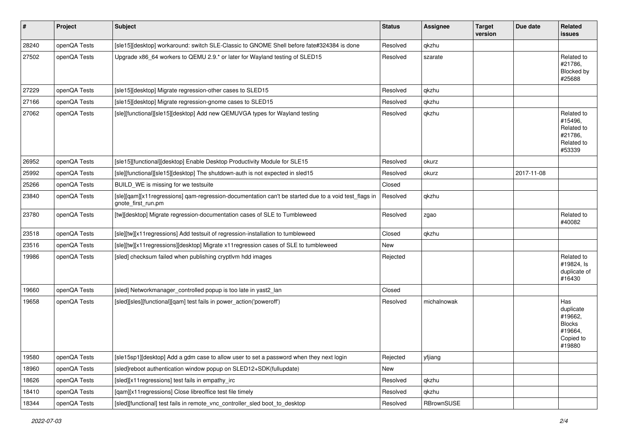| $\sharp$ | Project      | Subject                                                                                                                    | <b>Status</b> | <b>Assignee</b> | <b>Target</b><br>version | Due date   | Related<br><b>issues</b>                                                       |
|----------|--------------|----------------------------------------------------------------------------------------------------------------------------|---------------|-----------------|--------------------------|------------|--------------------------------------------------------------------------------|
| 28240    | openQA Tests | [sle15][desktop] workaround: switch SLE-Classic to GNOME Shell before fate#324384 is done                                  | Resolved      | qkzhu           |                          |            |                                                                                |
| 27502    | openQA Tests | Upgrade x86_64 workers to QEMU 2.9.* or later for Wayland testing of SLED15                                                | Resolved      | szarate         |                          |            | Related to<br>#21786,<br>Blocked by<br>#25688                                  |
| 27229    | openQA Tests | [sle15][desktop] Migrate regression-other cases to SLED15                                                                  | Resolved      | qkzhu           |                          |            |                                                                                |
| 27166    | openQA Tests | [sle15][desktop] Migrate regression-gnome cases to SLED15                                                                  | Resolved      | qkzhu           |                          |            |                                                                                |
| 27062    | openQA Tests | [sle][functional][sle15][desktop] Add new QEMUVGA types for Wayland testing                                                | Resolved      | qkzhu           |                          |            | Related to<br>#15496,<br>Related to<br>#21786,<br>Related to<br>#53339         |
| 26952    | openQA Tests | [sle15][functional][desktop] Enable Desktop Productivity Module for SLE15                                                  | Resolved      | okurz           |                          |            |                                                                                |
| 25992    | openQA Tests | [sle][functional][sle15][desktop] The shutdown-auth is not expected in sled15                                              | Resolved      | okurz           |                          | 2017-11-08 |                                                                                |
| 25266    | openQA Tests | BUILD WE is missing for we testsuite                                                                                       | Closed        |                 |                          |            |                                                                                |
| 23840    | openQA Tests | [sle][qam][x11regressions] qam-regression-documentation can't be started due to a void test_flags in<br>gnote_first_run.pm | Resolved      | qkzhu           |                          |            |                                                                                |
| 23780    | openQA Tests | [tw][desktop] Migrate regression-documentation cases of SLE to Tumbleweed                                                  | Resolved      | zgao            |                          |            | Related to<br>#40082                                                           |
| 23518    | openQA Tests | [sle][tw][x11 regressions] Add testsuit of regression-installation to tumbleweed                                           | Closed        | qkzhu           |                          |            |                                                                                |
| 23516    | openQA Tests | [sle][tw][x11regressions][desktop] Migrate x11regression cases of SLE to tumbleweed                                        | New           |                 |                          |            |                                                                                |
| 19986    | openQA Tests | [sled] checksum failed when publishing cryptlvm hdd images                                                                 | Rejected      |                 |                          |            | Related to<br>#19824, ls<br>duplicate of<br>#16430                             |
| 19660    | openQA Tests | [sled] Networkmanager_controlled popup is too late in yast2_lan                                                            | Closed        |                 |                          |            |                                                                                |
| 19658    | openQA Tests | [sled][sles][functional][qam] test fails in power_action('poweroff')                                                       | Resolved      | michalnowak     |                          |            | Has<br>duplicate<br>#19662,<br><b>Blocks</b><br>#19664,<br>Copied to<br>#19880 |
| 19580    | openQA Tests | [sle15sp1][desktop] Add a gdm case to allow user to set a password when they next login                                    | Rejected      | yfjiang         |                          |            |                                                                                |
| 18960    | openQA Tests | [sled]reboot authentication window popup on SLED12+SDK(fullupdate)                                                         | New           |                 |                          |            |                                                                                |
| 18626    | openQA Tests | [sled][x11regressions] test fails in empathy_irc                                                                           | Resolved      | qkzhu           |                          |            |                                                                                |
| 18410    | openQA Tests | [qam][x11regressions] Close libreoffice test file timely                                                                   | Resolved      | qkzhu           |                          |            |                                                                                |
| 18344    | openQA Tests | [sled][functional] test fails in remote_vnc_controller_sled boot_to_desktop                                                | Resolved      | RBrownSUSE      |                          |            |                                                                                |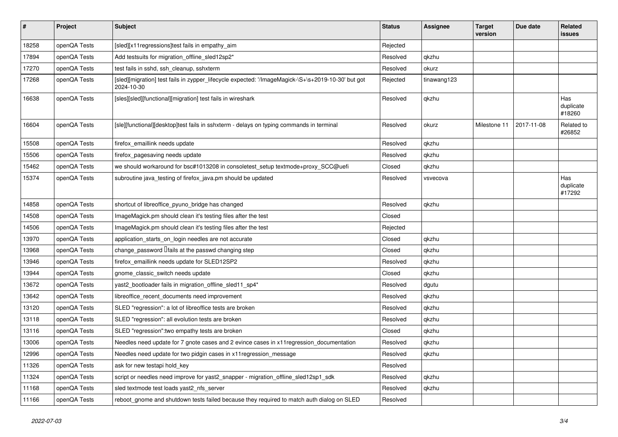| $\sharp$ | Project      | <b>Subject</b>                                                                                                   | <b>Status</b> | <b>Assignee</b> | <b>Target</b><br>version | Due date   | <b>Related</b><br><b>issues</b> |
|----------|--------------|------------------------------------------------------------------------------------------------------------------|---------------|-----------------|--------------------------|------------|---------------------------------|
| 18258    | openQA Tests | [sled][x11regressions]test fails in empathy_aim                                                                  | Rejected      |                 |                          |            |                                 |
| 17894    | openQA Tests | Add testsuits for migration_offline_sled12sp2*                                                                   | Resolved      | qkzhu           |                          |            |                                 |
| 17270    | openQA Tests | test fails in sshd, ssh cleanup, sshxterm                                                                        | Resolved      | okurz           |                          |            |                                 |
| 17268    | openQA Tests | [sled][migration] test fails in zypper_lifecycle expected: '/ImageMagick-\S+\s+2019-10-30' but got<br>2024-10-30 | Rejected      | tinawang123     |                          |            |                                 |
| 16638    | openQA Tests | [sles][sled][functional][migration] test fails in wireshark                                                      | Resolved      | qkzhu           |                          |            | Has<br>duplicate<br>#18260      |
| 16604    | openQA Tests | [sle][functional][desktop]test fails in sshxterm - delays on typing commands in terminal                         | Resolved      | okurz           | Milestone 11             | 2017-11-08 | Related to<br>#26852            |
| 15508    | openQA Tests | firefox_emaillink needs update                                                                                   | Resolved      | qkzhu           |                          |            |                                 |
| 15506    | openQA Tests | firefox_pagesaving needs update                                                                                  | Resolved      | qkzhu           |                          |            |                                 |
| 15462    | openQA Tests | we should workaround for bsc#1013208 in consoletest_setup textmode+proxy_SCC@uefi                                | Closed        | qkzhu           |                          |            |                                 |
| 15374    | openQA Tests | subroutine java_testing of firefox_java.pm should be updated                                                     | Resolved      | vsvecova        |                          |            | Has<br>duplicate<br>#17292      |
| 14858    | openQA Tests | shortcut of libreoffice_pyuno_bridge has changed                                                                 | Resolved      | qkzhu           |                          |            |                                 |
| 14508    | openQA Tests | ImageMagick.pm should clean it's testing files after the test                                                    | Closed        |                 |                          |            |                                 |
| 14506    | openQA Tests | ImageMagick.pm should clean it's testing files after the test                                                    | Rejected      |                 |                          |            |                                 |
| 13970    | openQA Tests | application_starts_on_login needles are not accurate                                                             | Closed        | qkzhu           |                          |            |                                 |
| 13968    | openQA Tests | change password $\Box$ fails at the passwd changing step                                                         | Closed        | qkzhu           |                          |            |                                 |
| 13946    | openQA Tests | firefox_emaillink needs update for SLED12SP2                                                                     | Resolved      | qkzhu           |                          |            |                                 |
| 13944    | openQA Tests | gnome_classic_switch needs update                                                                                | Closed        | qkzhu           |                          |            |                                 |
| 13672    | openQA Tests | yast2_bootloader fails in migration_offline_sled11_sp4*                                                          | Resolved      | dgutu           |                          |            |                                 |
| 13642    | openQA Tests | libreoffice_recent_documents need improvement                                                                    | Resolved      | qkzhu           |                          |            |                                 |
| 13120    | openQA Tests | SLED "regression": a lot of libreoffice tests are broken                                                         | Resolved      | qkzhu           |                          |            |                                 |
| 13118    | openQA Tests | SLED "regression": all evolution tests are broken                                                                | Resolved      | qkzhu           |                          |            |                                 |
| 13116    | openQA Tests | SLED "regression": two empathy tests are broken                                                                  | Closed        | qkzhu           |                          |            |                                 |
| 13006    | openQA Tests | Needles need update for 7 gnote cases and 2 evince cases in x11 regression_documentation                         | Resolved      | qkzhu           |                          |            |                                 |
| 12996    | openQA Tests | Needles need update for two pidgin cases in x11 regression message                                               | Resolved      | qkzhu           |                          |            |                                 |
| 11326    | openQA Tests | ask for new testapi hold_key                                                                                     | Resolved      |                 |                          |            |                                 |
| 11324    | openQA Tests | script or needles need improve for yast2_snapper - migration_offline_sled12sp1_sdk                               | Resolved      | qkzhu           |                          |            |                                 |
| 11168    | openQA Tests | sled textmode test loads yast2_nfs_server                                                                        | Resolved      | qkzhu           |                          |            |                                 |
| 11166    | openQA Tests | reboot_gnome and shutdown tests failed because they required to match auth dialog on SLED                        | Resolved      |                 |                          |            |                                 |